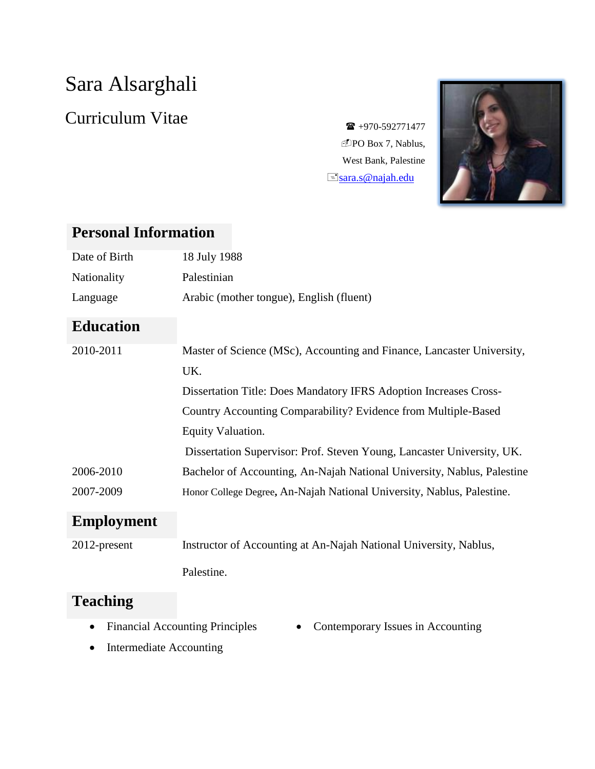# Sara Alsarghali

## Curriculum Vitae  $\epsilon$   $\epsilon$  +970-592771477

DPO Box 7, Nablus, West Bank, Palestine  $\equiv$ [sara.s@najah.edu](mailto:sara.s@najah.edu)



### **Personal Information**

| Date of Birth     | 18 July 1988                                                            |
|-------------------|-------------------------------------------------------------------------|
| Nationality       | Palestinian                                                             |
| Language          | Arabic (mother tongue), English (fluent)                                |
| <b>Education</b>  |                                                                         |
| 2010-2011         | Master of Science (MSc), Accounting and Finance, Lancaster University,  |
|                   | UK.                                                                     |
|                   | Dissertation Title: Does Mandatory IFRS Adoption Increases Cross-       |
|                   | Country Accounting Comparability? Evidence from Multiple-Based          |
|                   | Equity Valuation.                                                       |
|                   | Dissertation Supervisor: Prof. Steven Young, Lancaster University, UK.  |
| 2006-2010         | Bachelor of Accounting, An-Najah National University, Nablus, Palestine |
| 2007-2009         | Honor College Degree, An-Najah National University, Nablus, Palestine.  |
| <b>Employment</b> |                                                                         |
| 2012-present      | Instructor of Accounting at An-Najah National University, Nablus,       |
|                   | Palestine.                                                              |

#### **Teaching**

- Financial Accounting Principles
- Contemporary Issues in Accounting
- Intermediate Accounting